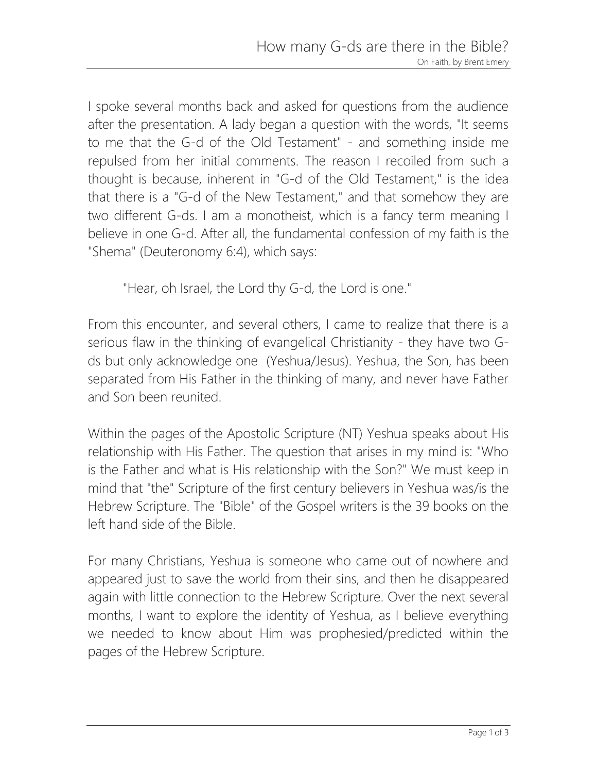I spoke several months back and asked for questions from the audience after the presentation. A lady began a question with the words, "It seems to me that the G-d of the Old Testament" - and something inside me repulsed from her initial comments. The reason I recoiled from such a thought is because, inherent in "G-d of the Old Testament," is the idea that there is a "G-d of the New Testament," and that somehow they are two different G-ds. I am a monotheist, which is a fancy term meaning I believe in one G-d. After all, the fundamental confession of my faith is the "Shema" (Deuteronomy 6:4), which says:

"Hear, oh Israel, the Lord thy G-d, the Lord is one."

From this encounter, and several others, I came to realize that there is a serious flaw in the thinking of evangelical Christianity - they have two Gds but only acknowledge one (Yeshua/Jesus). Yeshua, the Son, has been separated from His Father in the thinking of many, and never have Father and Son been reunited.

Within the pages of the Apostolic Scripture (NT) Yeshua speaks about His relationship with His Father. The question that arises in my mind is: "Who is the Father and what is His relationship with the Son?" We must keep in mind that "the" Scripture of the first century believers in Yeshua was/is the Hebrew Scripture. The "Bible" of the Gospel writers is the 39 books on the left hand side of the Bible.

For many Christians, Yeshua is someone who came out of nowhere and appeared just to save the world from their sins, and then he disappeared again with little connection to the Hebrew Scripture. Over the next several months, I want to explore the identity of Yeshua, as I believe everything we needed to know about Him was prophesied/predicted within the pages of the Hebrew Scripture.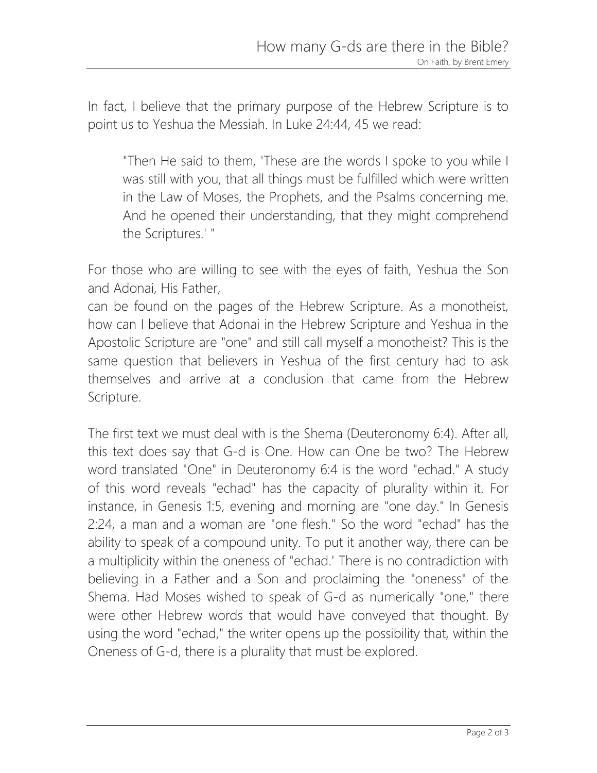In fact, I believe that the primary purpose of the Hebrew Scripture is to point us to Yeshua the Messiah. In Luke 24:44, 45 we read:

"Then He said to them, 'These are the words I spoke to you while I was still with you, that all things must be fulfilled which were written in the Law of Moses, the Prophets, and the Psalms concerning me. And he opened their understanding, that they might comprehend the Scriptures.' "

For those who are willing to see with the eyes of faith, Yeshua the Son and Adonai, His Father,

can be found on the pages of the Hebrew Scripture. As a monotheist, how can I believe that Adonai in the Hebrew Scripture and Yeshua in the Apostolic Scripture are "one" and still call myself a monotheist? This is the same question that believers in Yeshua of the first century had to ask themselves and arrive at a conclusion that came from the Hebrew Scripture.

The first text we must deal with is the Shema (Deuteronomy 6:4). After all, this text does say that G-d is One. How can One be two? The Hebrew word translated "One" in Deuteronomy 6:4 is the word "echad." A study of this word reveals "echad" has the capacity of plurality within it. For instance, in Genesis 1:5, evening and morning are "one day." In Genesis 2:24, a man and a woman are "one flesh." So the word "echad" has the ability to speak of a compound unity. To put it another way, there can be a multiplicity within the oneness of "echad.' There is no contradiction with believing in a Father and a Son and proclaiming the "oneness" of the Shema. Had Moses wished to speak of G-d as numerically "one," there were other Hebrew words that would have conveyed that thought. By using the word "echad," the writer opens up the possibility that, within the Oneness of G-d, there is a plurality that must be explored.